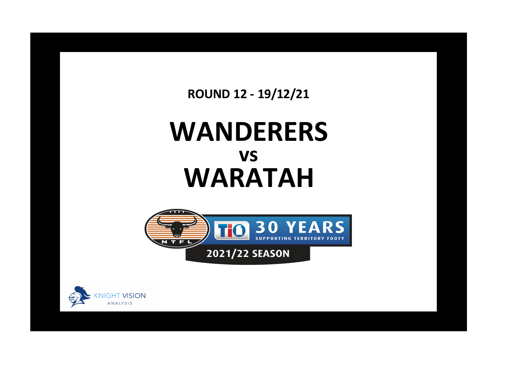**ROUND 12 - 19/12/21**

## **WANDERERS WARATAH vs**



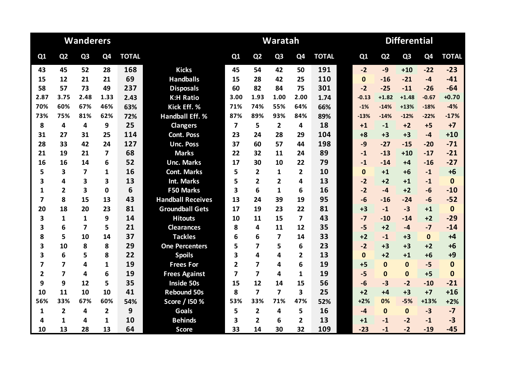|                         |                         | <b>Wanderers</b>        |                |              |                          | Waratah                 |                         |                |                         |              |  |              | <b>Differential</b> |                |                |              |  |  |  |
|-------------------------|-------------------------|-------------------------|----------------|--------------|--------------------------|-------------------------|-------------------------|----------------|-------------------------|--------------|--|--------------|---------------------|----------------|----------------|--------------|--|--|--|
| Q1                      | Q <sub>2</sub>          | Q <sub>3</sub>          | Q4             | <b>TOTAL</b> |                          | Q1                      | Q <sub>2</sub>          | Q <sub>3</sub> | Q <sub>4</sub>          | <b>TOTAL</b> |  | Q1           | Q <sub>2</sub>      | Q <sub>3</sub> | Q <sub>4</sub> | <b>TOTAL</b> |  |  |  |
| 43                      | 45                      | 52                      | 28             | 168          | <b>Kicks</b>             | 45                      | 54                      | 42             | 50                      | 191          |  | $-2$         | $-9$                | $+10$          | $-22$          | $-23$        |  |  |  |
| 15                      | 12                      | 21                      | 21             | 69           | <b>Handballs</b>         | 15                      | 28                      | 42             | 25                      | 110          |  | $\mathbf{0}$ | $-16$               | $-21$          | $-4$           | $-41$        |  |  |  |
| 58                      | 57                      | 73                      | 49             | 237          | <b>Disposals</b>         | 60                      | 82                      | 84             | 75                      | 301          |  | $-2$         | $-25$               | $-11$          | $-26$          | $-64$        |  |  |  |
| 2.87                    | 3.75                    | 2.48                    | 1.33           | 2.43         | <b>K:H Ratio</b>         | 3.00                    | 1.93                    | 1.00           | 2.00                    | 1.74         |  | $-0.13$      | $+1.82$             | $+1.48$        | $-0.67$        | $+0.70$      |  |  |  |
| 70%                     | 60%                     | 67%                     | 46%            | 63%          | Kick Eff. %              | 71%                     | 74%                     | 55%            | 64%                     | 66%          |  | $-1%$        | $-14%$              | $+13%$         | $-18%$         | $-4%$        |  |  |  |
| 73%                     | 75%                     | 81%                     | 62%            | 72%          | <b>Handball Eff. %</b>   | 87%                     | 89%                     | 93%            | 84%                     | 89%          |  | $-13%$       | $-14%$              | $-12%$         | $-22%$         | $-17%$       |  |  |  |
| 8                       | 4                       | 4                       | 9              | 25           | <b>Clangers</b>          | $\overline{\mathbf{z}}$ | 5                       | $\overline{2}$ | 4                       | 18           |  | $+1$         | $-1$                | $+2$           | $+5$           | $+7$         |  |  |  |
| 31                      | 27                      | 31                      | 25             | 114          | <b>Cont. Poss</b>        | 23                      | 24                      | 28             | 29                      | 104          |  | $+8$         | $+3$                | $+3$           | $-4$           | $+10$        |  |  |  |
| 28                      | 33                      | 42                      | 24             | 127          | <b>Unc. Poss</b>         | 37                      | 60                      | 57             | 44                      | 198          |  | $-9$         | $-27$               | $-15$          | $-20$          | $-71$        |  |  |  |
| 21                      | 19                      | 21                      | 7              | 68           | <b>Marks</b>             | 22                      | 32                      | 11             | 24                      | 89           |  | $-1$         | $-13$               | $+10$          | $-17$          | $-21$        |  |  |  |
| 16                      | 16                      | 14                      | 6              | 52           | <b>Unc. Marks</b>        | 17                      | 30                      | 10             | 22                      | 79           |  | $-1$         | $-14$               | $+4$           | $-16$          | $-27$        |  |  |  |
| 5                       | 3                       | 7                       | 1              | 16           | <b>Cont. Marks</b>       | 5                       | $\overline{2}$          | 1              | $\overline{2}$          | 10           |  | $\mathbf{0}$ | $+1$                | $+6$           | $-1$           | $+6$         |  |  |  |
| 3                       | 4                       | 3                       | 3              | 13           | <b>Int. Marks</b>        | 5                       | $\overline{2}$          | $\overline{2}$ | 4                       | 13           |  | $-2$         | $+2$                | $+1$           | $-1$           | $\mathbf 0$  |  |  |  |
| 1                       | $\overline{2}$          | $\overline{\mathbf{3}}$ | 0              | 6            | <b>F50 Marks</b>         | 3                       | 6                       | 1              | 6                       | 16           |  | $-2$         | $-4$                | $+2$           | $-6$           | $-10$        |  |  |  |
| $\overline{\mathbf{z}}$ | 8                       | 15                      | 13             | 43           | <b>Handball Receives</b> | 13                      | 24                      | 39             | 19                      | 95           |  | $-6$         | $-16$               | $-24$          | $-6$           | $-52$        |  |  |  |
| 20                      | 18                      | 20                      | 23             | 81           | <b>Groundball Gets</b>   | 17                      | 19                      | 23             | 22                      | 81           |  | $+3$         | $-1$                | $-3$           | $+1$           | $\mathbf{0}$ |  |  |  |
| 3                       | $\mathbf{1}$            | $\mathbf{1}$            | 9              | 14           | <b>Hitouts</b>           | 10                      | 11                      | 15             | 7                       | 43           |  | $-7$         | $-10$               | $-14$          | $+2$           | $-29$        |  |  |  |
| 3                       | 6                       | $\overline{\mathbf{z}}$ | 5              | 21           | <b>Clearances</b>        | 8                       | 4                       | 11             | 12                      | 35           |  | $-5$         | $+2$                | $-4$           | $-7$           | $-14$        |  |  |  |
| 8                       | 5                       | 10                      | 14             | 37           | <b>Tackles</b>           | 6                       | 6                       | $\overline{7}$ | 14                      | 33           |  | $+2$         | $-1$                | $+3$           | $\mathbf 0$    | $+4$         |  |  |  |
| 3                       | 10                      | 8                       | 8              | 29           | <b>One Percenters</b>    | 5                       | 7                       | 5              | 6                       | 23           |  | $-2$         | $+3$                | $+3$           | $+2$           | $+6$         |  |  |  |
| 3                       | 6                       | 5                       | 8              | 22           | <b>Spoils</b>            | 3                       | 4                       | 4              | $\mathbf{2}$            | 13           |  | $\mathbf{0}$ | $+2$                | $+1$           | $+6$           | $+9$         |  |  |  |
| 7                       | 7                       | 4                       | 1              | 19           | <b>Frees For</b>         | 2                       | $\overline{\mathbf{z}}$ | 4              | 6                       | 19           |  | $+5$         | $\Omega$            | $\Omega$       | $-5$           | $\mathbf{0}$ |  |  |  |
| $\overline{\mathbf{2}}$ | $\overline{7}$          | 4                       | 6              | 19           | <b>Frees Against</b>     | 7                       | $\overline{7}$          | 4              | $\mathbf{1}$            | 19           |  | $-5$         | $\mathbf{0}$        | $\mathbf{0}$   | $+5$           | $\bf{0}$     |  |  |  |
| 9                       | 9                       | 12                      | 5              | 35           | <b>Inside 50s</b>        | 15                      | 12                      | 14             | 15                      | 56           |  | $-6$         | $-3$                | $-2$           | $-10$          | $-21$        |  |  |  |
| 10                      | 11                      | 10                      | 10             | 41           | <b>Rebound 50s</b>       | 8                       | $\overline{\mathbf{z}}$ | 7              | $\overline{\mathbf{3}}$ | 25           |  | $+2$         | $+4$                | $+3$           | $+7$           | $+16$        |  |  |  |
| 56%                     | 33%                     | 67%                     | 60%            | 54%          | Score / 150 %            | 53%                     | 33%                     | 71%            | 47%                     | 52%          |  | $+2%$        | 0%                  | $-5%$          | $+13%$         | $+2%$        |  |  |  |
| 1                       | $\overline{\mathbf{2}}$ | 4                       | $\overline{2}$ | 9            | <b>Goals</b>             | 5                       | $\overline{2}$          | 4              | 5                       | 16           |  | $-4$         | $\mathbf{0}$        | $\mathbf{0}$   | $-3$           | $-7$         |  |  |  |
| 4                       | 1                       | 4                       | 1              | 10           | <b>Behinds</b>           | 3                       | $\overline{2}$          | 6              | $\mathbf{2}$            | 13           |  | $+1$         | $-1$                | $-2$           | $-1$           | $-3$         |  |  |  |
| 10                      | 13                      | 28                      | 13             | 64           | <b>Score</b>             | 33                      | 14                      | 30             | 32                      | 109          |  | $-23$        | $-1$                | $-2$           | $-19$          | $-45$        |  |  |  |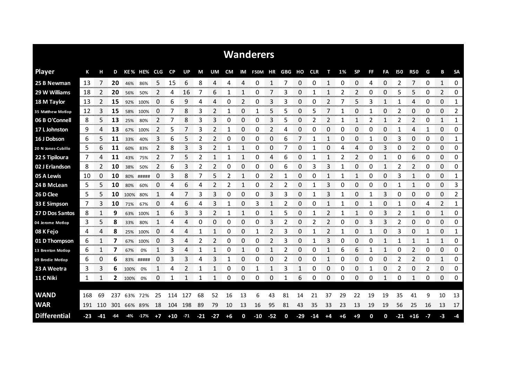|                     |     |       |     |      |           |          |           |       |              |                |             |             | <b>Wanderers</b> |       |             |          |            |             |      |             |              |          |                |                |      |                |                       |
|---------------------|-----|-------|-----|------|-----------|----------|-----------|-------|--------------|----------------|-------------|-------------|------------------|-------|-------------|----------|------------|-------------|------|-------------|--------------|----------|----------------|----------------|------|----------------|-----------------------|
| <b>Player</b>       | К   | н     | D   |      | KE% HE%   | CLG.     | <b>CP</b> | UP.   | М            | UM             | <b>CM</b>   | IM          | <b>F50M</b>      | HR    | GBG         | но       | <b>CLR</b> |             | 1%   | <b>SP</b>   | FF           | FA       | <b>150</b>     | <b>R50</b>     | G    | В              | <b>SA</b>             |
| 25 B Newman         | 13  | 7     | 20  | 46%  | 86%       | 5        | 15        | 6     | 8            | 4              | 4           | 4           | 0                | 1     | 7           | 0        | 0          | 1           | 0    | 0           | 4            | 0        | 2              | 7              | 0    | 1              | 0                     |
| 29 W Williams       | 18  | 2     | 20  | 56%  | 50%       | 2        | 4         | 16    |              | 6              | 1           | 1           | 0                | 7     | 3           | 0        | 1          |             | 2    | 2           | 0            | 0        | 5              | 5              | 0    | $\overline{2}$ | 0                     |
| 18 M Taylor         | 13  | 2     | 15  | 92%  | 100%      | 0        | 6         | 9     | 4            | 4              | 0           | 2           | 0                | 3     | 3           | 0        | 0          | 2           |      | 5           | 3            | 1        | 1              | 4              | 0    | 0              | 1                     |
| 35 Matthew Motlop   | 12  | 3     | 15  | 58%  | 100%      | $\Omega$ | 7         | 8     | 3            | $\overline{2}$ | 1           | 0           | 1                | 5     | 5           | 0        | 5          | 7           | 1    | 0           | 1            | $\Omega$ | 2              | 0              | 0    | 0              | 2                     |
| 06 B O'Connell      | 8   | 5.    | 13  | 25%  | 80%       | 2        |           | 8     | 3            | 3              | 0           | 0           | 0                | 3     | 5           | 0        | 2          | 2           | 1    | 1           | 2            | 1        | 2              | 2              | 0    | 1              | 1                     |
| 17 L Johnston       | 9   | 4     | 13  | 67%  | 100%      | 2        | 5         |       | 3            | 2              | 1           | 0           | 0                | 2     | 4           | 0        | 0          | 0           | 0    | 0           | 0            | 0        |                | 4              | 1    | 0              | 0                     |
| 16 J Dobson         | 6   | 5     | 11  | 33%  | 40%       | 3        | 6         | 5     | 2            | 2              | 0           | 0           | 0                | 0     | 6           | 7        |            | 1           | 0    | 0           | 1            | 0        | 3              | 0              | 0    | 0              | 1                     |
| 20 N Jones-Cubillo  | 5   | 6     | 11  | 60%  | 83%       | 2        | 8         | 3     | 3            | 2              | 1           | 1           | 0                | 0     | 7           | $\Omega$ | 1          | 0           | 4    | 4           | 0            | 3        | 0              | $\overline{2}$ | 0    | 0              | $\mathbf{0}$          |
| 22 S Tipiloura      | 7   | 4     | 11  | 43%  | 75%       | 2        | 7         | 5     | 2            | 1              | 1           | 1           | 0                | 4     | 6           | 0        | 1          | 1           | 2    | 2           | 0            | 1        | 0              | 6              | 0    | 0              | 0                     |
| 02 J Erlandson      | 8   | 2     | 10  | 38%  | 50%       | 2        | 6         | 3     | 2            | $\overline{2}$ | 0           | 0           | 0                | 0     | 6           | 0        | 3          | 3           |      | 0           | 0            | 1        | 2              | $\overline{2}$ | 0    | 0              | 0                     |
| 05 A Lewis          | 10  | 0     | 10  | 80%  | #####     | 0        | 3         | 8     | 7            | 5              | 2           |             | 0                | 2     | 1           | 0        | 0          |             |      | 1           | 0            | 0        | 3              | 1              | 0    | 0              | 1                     |
| 24 B McLean         | 5   | 5     | 10  | 80%  | 60%       | 0        | 4         | 6     | 4            | 2              | 2           | 1           | 0                | 2     | 2           | 0        |            | 3           | 0    | 0           | 0            | 0        |                | $\mathbf{1}$   | 0    | 0              | 3                     |
| 26 D Clee           | 5   | 5.    | 10  | 100% | 80%       |          | 4         | 7     | 3            | 3              | 0           | 0           | 0                | 3     | 3           | 0        |            | 3           | 1    | 0           | 1            | 3        | 0              | 0              | 0    | 0              | 2                     |
| 33 E Simpson        | 7   | 3     | 10  | 71%  | 67%       | 0        | 4         | 6     | 4            | 3              | 1           | 0           | 3                | 1     | 2           | 0        | 0          |             |      | 0           | $\mathbf{1}$ | 0        |                | 0              | 4    | 2              | 1                     |
| 27 D Dos Santos     | 8   | 1     | 9   | 63%  | 100%      |          | ь         | 3     | 3            | 2              | 1           | 1           | 0                | 1     | 5           | 0        | 1          | 2           |      | 1           | 0            | 3        | 2              | 1              | 0    | 1              | 0                     |
| 04 Jerome Motlop    | 3   | 5     | 8   | 33%  | 80%       |          | 4         | 4     | 0            | 0              | 0           | 0           | 0                | 3     | 2           | 0        | 2          | 2           | 0    | 0           | 3            | 3        | $\overline{2}$ | 0              | 0    | 0              | 0                     |
| 08 K Fejo           | 4   | 4     | 8   | 25%  | 100%      | 0        | 4         | 4     | 1            | 1              | 0           | 0           | 1                | 2     | 3           | 0        | 1          | 2           | 1    | 0           | $\mathbf{1}$ | 0        | 3              | 0              | 1    | 0              | 1                     |
| 01 D Thompson       | 6   | 1     | 7   |      | 67% 100%  | 0        | 3         | 4     | 2            | 2              | 0           | 0           | 0                | 2     | 3           | 0        |            | З           | Ω    | 0           | O            | 1        |                | $\mathbf{1}$   | 1    | 1              | 0                     |
| 13 Brenton Motlop   | 6   | 1     | 7   | 67%  | 0%        | 1        | 3         | 4     | $\mathbf{1}$ | $\mathbf{1}$   | 0           | 1           | 0                | 1     | 2           | 0        | 0          | 1           | 6    | 6           | $\mathbf{1}$ | 1        | 0              | 2              | 0    | 0              | 0                     |
| 09 Brodie Motlop    | 6   | 0     | 6   |      | 83% ##### | 0        | 3         | 3     | 4            | 3              | 1<br>mene e | 0           | 0                | 0     | 2           | 0        | 0          | 1<br>mana a | 0    | 0<br>ana ar | 0            | 0        | 2              | 2<br>manan.    | 0    | 1<br>manan a   | 0<br><b>CONTRACTO</b> |
| 23 A Weetra         | 3   | 3     | 6   | 100% | 0%        | 1        | 4         | 2     | 1            | 1              | 0           | 0           | 1                | 1     | 3           | 1        | 0          | 0           | 0    | 0           | 1            | 0        | 2              | 0              | 2    | 0              | 0                     |
| 11 C Niki           | 1   | 1     | 2   | 100% | 0%        | 0        | 1         | 1     | 1            | -1             | 0           | 0           | 0                | 0     | 1           | 6        | 0          | 0           | 0    | 0           | 0            | 1        | 0              | 1              | 0    | 0              | 0                     |
|                     |     |       |     |      |           |          |           |       |              |                |             |             |                  |       |             |          |            |             |      |             |              |          |                |                |      |                |                       |
| <b>WAND</b>         | 168 | 69    | 237 |      | 63% 72%   | 25       | 114       | 127   | 68           | 52             | 16          | 13          | 6                | 43    | 81          | 14       | 21         | 37          | 29   | 22          | 19           | 19       | 35             | 41             | 9    | 10             | 13                    |
| <b>WAR</b>          | 191 | 110   | 301 |      | 66% 89%   | 18       | 104       | 198   | 89           | 79             | 10          | 13          | 16               | 95    | 81          | 43       | 35         | 33          | 23   | 13          | 19           | 19       | 56             | 25             | 16   | 13             | 17                    |
| <b>Differential</b> | -23 | $-41$ | -64 | -4%  | -17%      | $+7$     | $+10$     | $-71$ | $-21$        | $-27$          | $+6$        | $\mathbf 0$ | $-10$            | $-52$ | $\mathbf 0$ | $-29$    | $-14$      | $+4$        | $+6$ | $+9$        | $\mathbf 0$  | 0        | $-21$          | $+16$          | $-7$ | -3             | -4                    |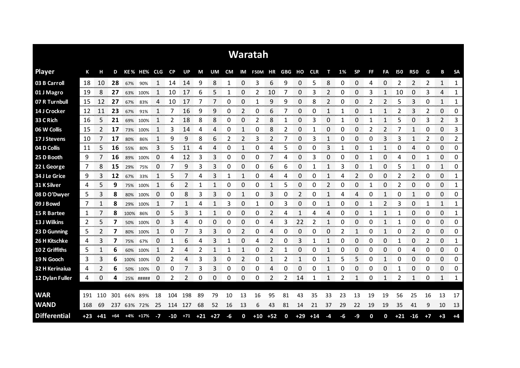|                     |     |       |       |           |             |      |           |                   |    |    |    |             | Waratah                  |       |             |       |       |              |    |                |           |                |            |                   |      |                               |              |
|---------------------|-----|-------|-------|-----------|-------------|------|-----------|-------------------|----|----|----|-------------|--------------------------|-------|-------------|-------|-------|--------------|----|----------------|-----------|----------------|------------|-------------------|------|-------------------------------|--------------|
| <b>Player</b>       | К   | н     | D     |           | KE% HE% CLG |      | <b>CP</b> | UP                | M  | UM |    |             | CM IM F50M HR GBG HO CLR |       |             |       |       | т            | 1% | <b>SP</b>      | <b>FF</b> | FA             | <b>I50</b> | <b>R50</b>        | G    | В                             | <b>SA</b>    |
| 03 B Carroll        | 18  | 10    | 28    | 67%       | 90%         |      | 14        | 14                | 9  | 8  | 1  | 0           | 3                        | 6     | 9           | 0     | 5     | 8            | 0  | 0              | 4         | 0              | 2          | 2                 | 2    | 1                             | 1            |
| 01 J Magro          | 19  | 8     | 27    | 63%       | 100%        |      | 10        | 17                | 6  | 5  |    | 0           | 2                        | 10    |             | 0     | 3     | 2            | 0  | 0              | З         |                | 10         | 0                 | 3    | 4                             | 1            |
| 07 R Turnbull       | 15  | 12    | 27    | 67%       | 83%         | 4    | 10        | 17                |    | 7  | 0  | 0           |                          | 9     | 9           | 0     | 8     | 2            | 0  | 0              | 2         | $\overline{2}$ | 5          | 3                 | 0    | 1                             | 1            |
| 14 J Crocker        | 12  | 11    | 23    | 67%       | 91%         |      | 7         | 16                | 9  | 9  | 0  | 2           | 0                        | 6     |             | 0     | 0     | 1            |    | 0              |           |                | 2          | 3                 | 2    | 0                             | 0            |
| 33 C Rich           | 16  | 5     | 21    | 69%       | 100%        |      | 2         | 18                | 8  | 8  | 0  | $\Omega$    | 2                        | 8     | 1           | 0     | 3     | 0            | 1  | 0              |           | 1              | 5          | 0                 | 3    | $\overline{2}$                | 3            |
| 06 W Collis         | 15  | 2     | 17    | 73%       | 100%        |      | 3         | 14                | 4  | 4  | 0  | 1           | 0                        | 8     | 2           | 0     |       | 0            | 0  | 0              | 2         | 2              |            | 1                 | 0    | 0                             | 3            |
| 17 J Stevens        | 10  |       | 17    | 80%       | 86%         |      | 9         | 9                 | 8  | 6  | 2  | 2           | 3                        | 2     | 7           | 0     | 3     | 1            | 0  | 0              | 0         | 3              | 3          | 1                 | 2    | 0                             | 2            |
| 04 D Collis         | 11  | 5     | 16    | 55%       | 80%         | 3    | 5         | 11                | 4  | 4  | 0  | 1           | 0                        | 4     | 5           | 0     | 0     | 3            | 1  | 0              | 1         |                | 0          | 4                 | 0    | 0                             | 0            |
| 25 D Booth          | 9   | 7     | 16    | 89%       | 100%        | 0    | 4         | 12                | 3  | 3  | 0  | 0           | 0                        | 7     | 4           | 0     | 3     | 0            | 0  | 0              | 1         | 0              | 4          | 0                 | 1    | 0                             | 0            |
| 22 L George         | 7   | 8     | 15    | 29%       | 75%         | 0    | 7         | 9                 | 3  | 3  | 0  | 0           | 0                        | 6     | 6           | 0     | 1     | 1            | 3  | 0              | 1         | 0              | 5          | 1                 | 0    | 1                             | 0            |
| 34 J Le Grice       | 9   | 3     | 12    | 67%       | 33%         | 1    | 5         |                   | 4  | 3  | 1  | 1           | 0                        | 4     | 4           | 0     | 0     | 1            | 4  | $\overline{2}$ | 0         | 0              | 2          | 2                 | 0    | 0                             | 1            |
| 31 K Silver         | 4   | 5     | 9     | 75%       | 100%        | 1    | 6         |                   | 1  | 1  | 0  | 0           | 0                        | 1     | 5           | 0     | 0     | 2            | 0  | 0              | 1         | 0              | 2          | 0                 | 0    | 0                             | 1            |
| 08 D O'Dwyer        | 5   | 3     | 8     | 80%       | 100%        | 0    | 0         | 8                 | 3  | 3  | 0  | 1           | 0                        | 3     | 0           | 2     | 0     | $\mathbf{1}$ | 4  | 4              | 0         | 1              | 0          | 1                 | 0    | 0                             | 0            |
| 09 J Bowd           | 7   |       | 8     | 29%       | 100%        |      |           |                   | 4  |    | 3  | 0           |                          | 0     | 3           | 0     | O     | 1            | O  | 0              |           | $\mathcal{P}$  | 3          | 0                 |      | 1<br>an an a                  | 1<br>mmmm.   |
| 15 R Bartee         | 1   |       | 8     | 100%      | 86%         | 0    | 5         | 3                 |    |    | 0  | 0           | 0                        | 2     | 4           |       | 4     | 4            | O  | 0              |           |                |            | 0<br>an sa marang | 0    | 0<br><b>The Concert of Co</b> | 1<br>www.com |
| 13 J Wilkins        | 2   | 5     |       | 50%       | 100%        | 0    | 3         | Δ                 | 0  | 0  | 0  | O<br>mana a | 0                        | Δ     | 3           | 22    |       |              | O  | O              | C         |                |            | 0<br>manan m      | 0    | 0<br>manan a                  | 0<br>www.ww  |
| 23 D Gunning        | 5   | 2     |       | 80%       | 100%        | 1    | 0         |                   | 3  | 3  | 0  | 2           | 0                        | 4     | 0           | 0     | 0     | 0            | 2  | 1              | 0         | 1              | 0          | 2                 | 0    | 0                             | 0<br>an an a |
| 26 H Kitschke       | 4   | 3     |       | 75%       | 67%         | 0    |           | 6                 | 4  | 3  |    | 0           | 4                        | 2     |             | 3     |       | 1            | O  | 0              | Ω         | 0              |            | 0                 | 2    | 0                             | 1            |
| 10 Z Griffiths      | 5   |       | 6     | 60%       | 100%        | 1    | 2         | 4                 | 2  | 1  | 1  | $\mathbf 1$ | 0                        | 2     |             | 0     | 0     | 1            | O  | 0              | 0         | 0              | O          | 4                 | 0    | 0                             | 0            |
| 19 N Gooch          | 3   | 3     | 6     | 100% 100% |             | 0    | 2         | 4                 | 3  | 3  | 0  | 2           | 0                        |       | 2           | 1     | 0     | 1            | 5  | 5              | 0         | 1              | 0          | 0                 | 0    | 0                             | 0            |
| 32 H Kerinaiua      | 4   | 2     | 6     |           | 50% 100%    | 0    | 0         |                   | 3  | 3  | 0  | 0           | 0                        | 4     | 0           | 0     | 0     | 1            | 0  | 0              | 0         | 0              | 1          | 0                 | 0    | 0                             | 0            |
| 12 Dylan Fuller     | 4   | 0     | 4     |           | 25% #####   | 0    | 2         | $\mathfrak{p}$    | 0  | 0  | 0  | 0           | 0                        | 2     | 2           | 14    | 1     | 1            | 2  | 1              | 0         | 1              | 2          | 1                 | 0    | 1                             | 1            |
|                     |     |       |       |           |             |      |           |                   |    |    |    |             |                          |       |             |       |       |              |    |                |           |                |            |                   |      |                               |              |
| <b>WAR</b>          | 191 | 110   | 301   | 66%       | 89%         | 18   | 104       | 198               | 89 | 79 | 10 | 13          | 16                       | 95    | 81          | 43    | 35    | 33           | 23 | 13             | 19        | 19             | 56         | 25                | 16   | 13                            | 17           |
| <b>WAND</b>         | 168 | 69    | 237   |           | 63% 72%     | 25   | 114       | 127               | 68 | 52 | 16 | 13          | 6                        | 43    | 81          | 14    | 21    | 37           | 29 | 22             | 19        | 19             | 35         | 41                | 9    | 10                            | 13           |
| <b>Differential</b> | +23 | $+41$ | $+64$ | $+4%$     | $+17%$      | $-7$ | $-10$     | $+71$ $+21$ $+27$ |    |    | -6 | 0           | $+10$                    | $+52$ | $\mathbf 0$ | $+29$ | $+14$ | -4           | -6 | -9             | 0         | 0              | $+21$      | $-16$             | $+7$ | $+3$                          | $+4$         |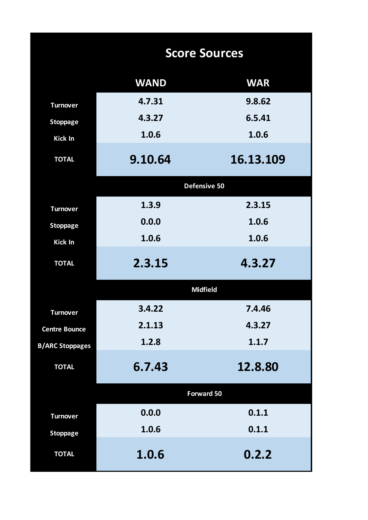|                        |             | <b>Score Sources</b> |
|------------------------|-------------|----------------------|
|                        | <b>WAND</b> | <b>WAR</b>           |
| <b>Turnover</b>        | 4.7.31      | 9.8.62               |
| <b>Stoppage</b>        | 4.3.27      | 6.5.41               |
| Kick In                | 1.0.6       | 1.0.6                |
| <b>TOTAL</b>           | 9.10.64     | 16.13.109            |
|                        |             | Defensive 50         |
| <b>Turnover</b>        | 1.3.9       | 2.3.15               |
| <b>Stoppage</b>        | 0.0.0       | 1.0.6                |
| <b>Kick In</b>         | 1.0.6       | 1.0.6                |
| <b>TOTAL</b>           | 2.3.15      | 4.3.27               |
|                        |             | <b>Midfield</b>      |
| <b>Turnover</b>        | 3.4.22      | 7.4.46               |
| <b>Centre Bounce</b>   | 2.1.13      | 4.3.27               |
| <b>B/ARC Stoppages</b> | 1.2.8       | 1.1.7                |
| <b>TOTAL</b>           | 6.7.43      | 12.8.80              |
|                        |             | <b>Forward 50</b>    |
| <b>Turnover</b>        | 0.0.0       | 0.1.1                |
| <b>Stoppage</b>        | 1.0.6       | 0.1.1                |
| <b>TOTAL</b>           | 1.0.6       | 0.2.2                |